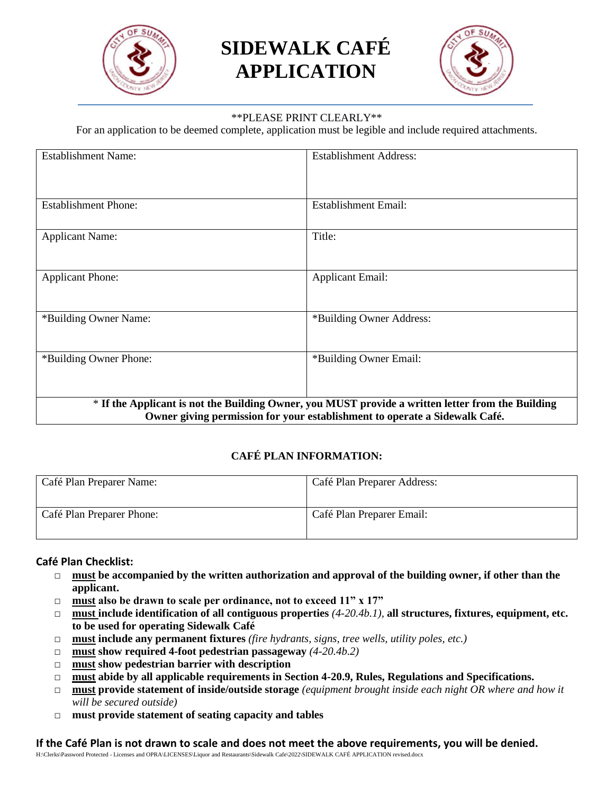

# **SIDEWALK CAFÉ APPLICATION**



#### \*\*PLEASE PRINT CLEARLY\*\*

For an application to be deemed complete, application must be legible and include required attachments.

| <b>Establishment Name:</b>                                                                                                                                                      | <b>Establishment Address:</b> |  |
|---------------------------------------------------------------------------------------------------------------------------------------------------------------------------------|-------------------------------|--|
|                                                                                                                                                                                 |                               |  |
| <b>Establishment Phone:</b>                                                                                                                                                     | <b>Establishment Email:</b>   |  |
| <b>Applicant Name:</b>                                                                                                                                                          | Title:                        |  |
| <b>Applicant Phone:</b>                                                                                                                                                         | <b>Applicant Email:</b>       |  |
| *Building Owner Name:                                                                                                                                                           | *Building Owner Address:      |  |
| *Building Owner Phone:                                                                                                                                                          | *Building Owner Email:        |  |
| * If the Applicant is not the Building Owner, you MUST provide a written letter from the Building<br>Owner giving permission for your establishment to operate a Sidewalk Café. |                               |  |

#### **CAFÉ PLAN INFORMATION:**

| Café Plan Preparer Name:  | Café Plan Preparer Address: |
|---------------------------|-----------------------------|
| Café Plan Preparer Phone: | Café Plan Preparer Email:   |

#### **Café Plan Checklist:**

- □ **must** be accompanied by the written authorization and approval of the building owner, if other than the **applicant.**
- □ **must also be drawn to scale per ordinance, not to exceed 11" x 17"**
- □ **must include identification of all contiguous properties** *(4-20.4b.1),* **all structures, fixtures, equipment, etc. to be used for operating Sidewalk Café**
- □ **must include any permanent fixtures** (*fire hydrants, signs, tree wells, utility poles, etc.*)
- □ **must show required 4-foot pedestrian passageway** *(4-20.4b.2)*
- □ **must show pedestrian barrier with description**
- □ **must abide by all applicable requirements in Section 4-20.9, Rules, Regulations and Specifications.**
- □ **must provide statement of inside/outside storage** *(equipment brought inside each night OR where and how it will be secured outside)*
- □ **must provide statement of seating capacity and tables**

**If the Café Plan is not drawn to scale and does not meet the above requirements, you will be denied.**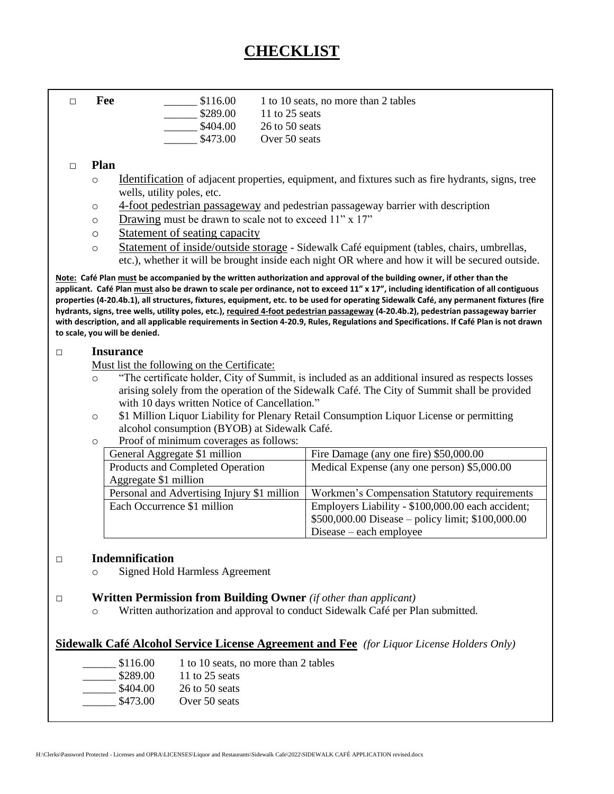# **CHECKLIST**

**EXECUTE:**  $$116.00$  1 to 10 seats, no more than 2 tables

| \$289.00 |  | 11 to 25 seats |
|----------|--|----------------|
|          |  |                |

\$404.00 26 to 50 seats

\$473.00 Over 50 seats

#### □ **Plan**

- o Identification of adjacent properties, equipment, and fixtures such as fire hydrants, signs, tree wells, utility poles, etc.
- o 4-foot pedestrian passageway and pedestrian passageway barrier with description
- o Drawing must be drawn to scale not to exceed 11" x 17"
- o Statement of seating capacity
- o Statement of inside/outside storage Sidewalk Café equipment (tables, chairs, umbrellas, etc.), whether it will be brought inside each night OR where and how it will be secured outside.

Note: Café Plan <u>must</u> be accompanied by the written authorization and approval of the building owner, if other than the detail to last year's application. **applicant. Café Plan must also be drawn to scale per ordinance, not to exceed 11" x 17", including identification of all contiguous**  \_\_\_\_\_\_\_\_\_\_\_\_\_\_\_\_\_\_\_\_\_\_\_\_\_\_\_\_\_\_\_\_\_\_\_\_\_\_\_\_\_ **hydrants, signs, tree wells, utility poles, etc.), required 4-foot pedestrian passageway (4-20.4b.2), pedestrian passageway barrier**  *Signature* **with description, and all applicable requirements in Section 4-20.9, Rules, Regulations and Specifications. If Café Plan is not drawn properties (4-20.4b.1), all structures, fixtures, equipment, etc. to be used for operating Sidewalk Café, any permanent fixtures (fire to scale, you will be denied.**

#### □ **Insurance**

Must list the following on the Certificate:

- o "The certificate holder, City of Summit, is included as an additional insured as respects losses arising solely from the operation of the Sidewalk Café. The City of Summit shall be provided with 10 days written Notice of Cancellation."
- o \$1 Million Liquor Liability for Plenary Retail Consumption Liquor License or permitting alcohol consumption (BYOB) at Sidewalk Café.
- o Proof of minimum coverages as follows:

| General Aggregate \$1 million               | Fire Damage (any one fire) \$50,000.00             |
|---------------------------------------------|----------------------------------------------------|
| Products and Completed Operation            | Medical Expense (any one person) \$5,000.00        |
| Aggregate \$1 million                       |                                                    |
| Personal and Advertising Injury \$1 million | Workmen's Compensation Statutory requirements      |
| Each Occurrence \$1 million                 | Employers Liability - \$100,000.00 each accident;  |
|                                             | $$500,000.00$ Disease – policy limit; \$100,000.00 |
|                                             | Disease – each employee                            |

#### □ **Indemnification**

o Signed Hold Harmless Agreement

#### □ **Written Permission from Building Owner** *(if other than applicant)*

o Written authorization and approval to conduct Sidewalk Café per Plan submitted.

### **Sidewalk Café Alcohol Service License Agreement and Fee** *(for Liquor License Holders Only)*

| \$116.00 | 1 to 10 seats, no more than 2 tables |
|----------|--------------------------------------|
| \$289.00 | 11 to 25 seats                       |
| \$404.00 | 26 to 50 seats                       |
| \$473.00 | Over 50 seats                        |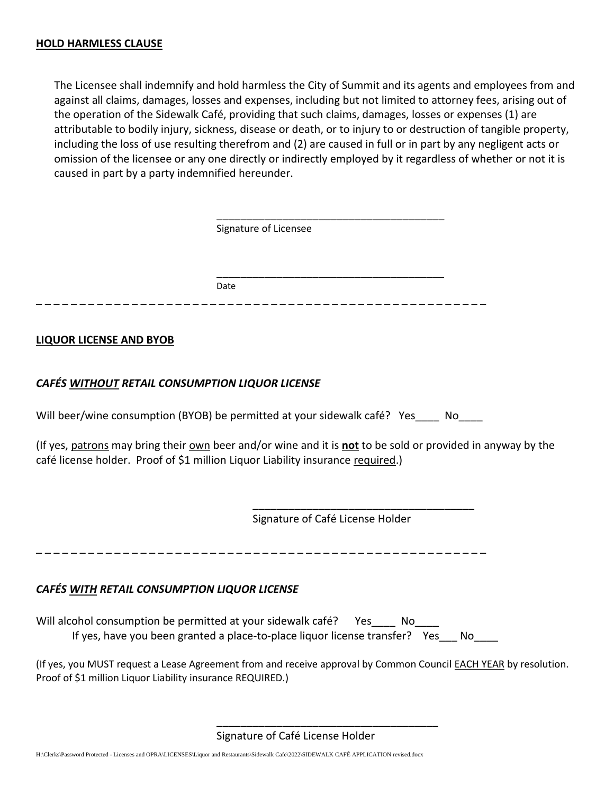The Licensee shall indemnify and hold harmless the City of Summit and its agents and employees from and against all claims, damages, losses and expenses, including but not limited to attorney fees, arising out of the operation of the Sidewalk Café, providing that such claims, damages, losses or expenses (1) are attributable to bodily injury, sickness, disease or death, or to injury to or destruction of tangible property, including the loss of use resulting therefrom and (2) are caused in full or in part by any negligent acts or omission of the licensee or any one directly or indirectly employed by it regardless of whether or not it is caused in part by a party indemnified hereunder.

| Signature of Licensee |  |
|-----------------------|--|
|                       |  |
| Date                  |  |

#### **LIQUOR LICENSE AND BYOB**

#### *CAFÉS WITHOUT RETAIL CONSUMPTION LIQUOR LICENSE*

Will beer/wine consumption (BYOB) be permitted at your sidewalk café? Yes Mo

(If yes, patrons may bring their own beer and/or wine and it is **not** to be sold or provided in anyway by the café license holder. Proof of \$1 million Liquor Liability insurance required.)

Signature of Café License Holder

\_\_\_\_\_\_\_\_\_\_\_\_\_\_\_\_\_\_\_\_\_\_\_\_\_\_\_\_\_\_\_\_\_\_\_\_\_

\_ \_ \_ \_ \_ \_ \_ \_ \_ \_ \_ \_ \_ \_ \_ \_ \_ \_ \_ \_ \_ \_ \_ \_ \_ \_ \_ \_ \_ \_ \_ \_ \_ \_ \_ \_ \_ \_ \_ \_ \_ \_ \_ \_ \_ \_ \_ \_ \_ \_ \_ \_

### *CAFÉS WITH RETAIL CONSUMPTION LIQUOR LICENSE*

Will alcohol consumption be permitted at your sidewalk café? Yes No If yes, have you been granted a place-to-place liquor license transfer? Yes\_\_\_ No\_\_\_

(If yes, you MUST request a Lease Agreement from and receive approval by Common Council EACH YEAR by resolution. Proof of \$1 million Liquor Liability insurance REQUIRED.)

Signature of Café License Holder

\_\_\_\_\_\_\_\_\_\_\_\_\_\_\_\_\_\_\_\_\_\_\_\_\_\_\_\_\_\_\_\_\_\_\_\_\_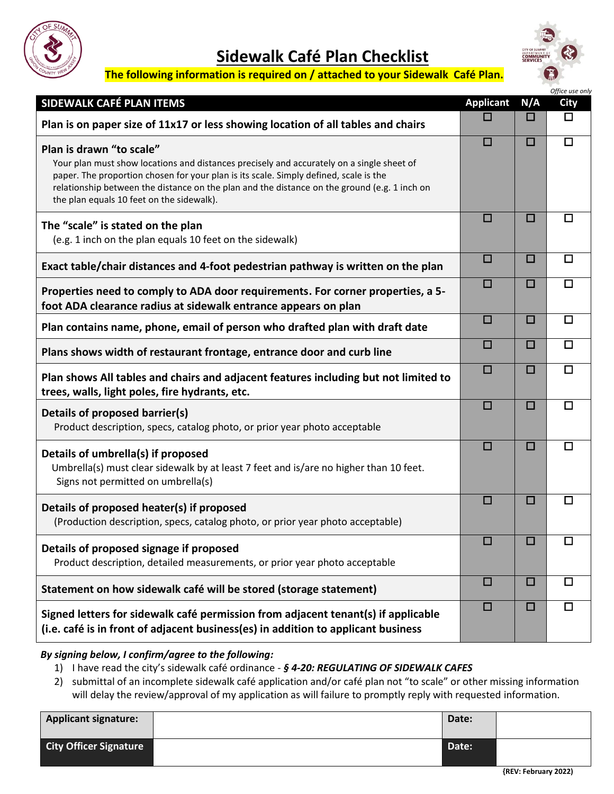

# **Sidewalk Café Plan Checklist**



## **The following information is required on / attached to your Sidewalk Café Plan.**

|                                                                                                                                                                                                                                                                                                                                                             |                  |        | Office use only |
|-------------------------------------------------------------------------------------------------------------------------------------------------------------------------------------------------------------------------------------------------------------------------------------------------------------------------------------------------------------|------------------|--------|-----------------|
| SIDEWALK CAFÉ PLAN ITEMS                                                                                                                                                                                                                                                                                                                                    | <b>Applicant</b> | N/A    | <b>City</b>     |
| Plan is on paper size of 11x17 or less showing location of all tables and chairs                                                                                                                                                                                                                                                                            |                  | ப      | □               |
| Plan is drawn "to scale"<br>Your plan must show locations and distances precisely and accurately on a single sheet of<br>paper. The proportion chosen for your plan is its scale. Simply defined, scale is the<br>relationship between the distance on the plan and the distance on the ground (e.g. 1 inch on<br>the plan equals 10 feet on the sidewalk). | $\Box$           | □      | $\Box$          |
| The "scale" is stated on the plan<br>(e.g. 1 inch on the plan equals 10 feet on the sidewalk)                                                                                                                                                                                                                                                               | П                | □      | $\Box$          |
| Exact table/chair distances and 4-foot pedestrian pathway is written on the plan                                                                                                                                                                                                                                                                            | $\Box$           | $\Box$ | □               |
| Properties need to comply to ADA door requirements. For corner properties, a 5-<br>foot ADA clearance radius at sidewalk entrance appears on plan                                                                                                                                                                                                           | $\Box$           | □      | $\Box$          |
| Plan contains name, phone, email of person who drafted plan with draft date                                                                                                                                                                                                                                                                                 | $\Box$           | О      | $\Box$          |
| Plans shows width of restaurant frontage, entrance door and curb line                                                                                                                                                                                                                                                                                       | $\Box$           | □      | $\Box$          |
| Plan shows All tables and chairs and adjacent features including but not limited to<br>trees, walls, light poles, fire hydrants, etc.                                                                                                                                                                                                                       | $\Box$           | □      | □               |
| Details of proposed barrier(s)<br>Product description, specs, catalog photo, or prior year photo acceptable                                                                                                                                                                                                                                                 | П                | □      | □               |
| Details of umbrella(s) if proposed<br>Umbrella(s) must clear sidewalk by at least 7 feet and is/are no higher than 10 feet.<br>Signs not permitted on umbrella(s)                                                                                                                                                                                           | П                | □      | $\Box$          |
| Details of proposed heater(s) if proposed<br>(Production description, specs, catalog photo, or prior year photo acceptable)                                                                                                                                                                                                                                 | $\Box$           | □      | □               |
| Details of proposed signage if proposed<br>Product description, detailed measurements, or prior year photo acceptable                                                                                                                                                                                                                                       | П                | □      | □               |
| Statement on how sidewalk café will be stored (storage statement)                                                                                                                                                                                                                                                                                           | $\Box$           | □      | $\Box$          |
| Signed letters for sidewalk café permission from adjacent tenant(s) if applicable<br>(i.e. café is in front of adjacent business(es) in addition to applicant business                                                                                                                                                                                      | $\Box$           | $\Box$ | $\Box$          |

*By signing below, I confirm/agree to the following:*

1) I have read the city's sidewalk café ordinance - *§ 4-20: REGULATING OF SIDEWALK CAFES*

2) submittal of an incomplete sidewalk café application and/or café plan not "to scale" or other missing information will delay the review/approval of my application as will failure to promptly reply with requested information.

| <b>Applicant signature:</b>   | Date: |  |
|-------------------------------|-------|--|
| <b>City Officer Signature</b> | Date: |  |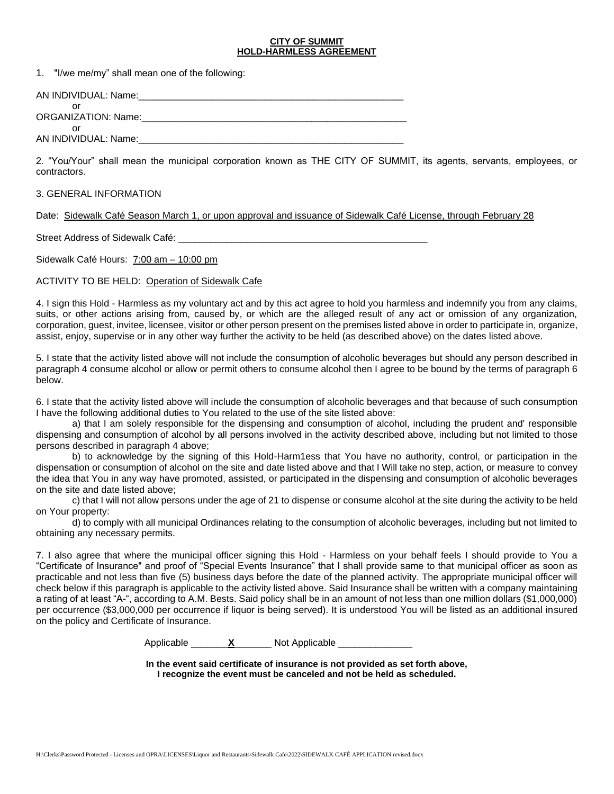#### **CITY OF SUMMIT HOLD-HARMLESS AGREEMENT**

1. "I/we me/my" shall mean one of the following:

| AN INDIVIDUAL: Name: |  |
|----------------------|--|
| ORGANIZATION: Name:  |  |
| Ωľ                   |  |

AN INDIVIDUAL: Name:

2. "You/Your" shall mean the municipal corporation known as THE CITY OF SUMMIT, its agents, servants, employees, or contractors.

#### 3. GENERAL INFORMATION

Date: Sidewalk Café Season March 1, or upon approval and issuance of Sidewalk Café License, through February 28

Street Address of Sidewalk Café: **Example 2018** 

Sidewalk Café Hours: 7:00 am – 10:00 pm

#### ACTIVITY TO BE HELD: Operation of Sidewalk Cafe

4. I sign this Hold - Harmless as my voluntary act and by this act agree to hold you harmless and indemnify you from any claims, suits, or other actions arising from, caused by, or which are the alleged result of any act or omission of any organization, corporation, guest, invitee, licensee, visitor or other person present on the premises listed above in order to participate in, organize, assist, enjoy, supervise or in any other way further the activity to be held (as described above) on the dates listed above.

5. I state that the activity listed above will not include the consumption of alcoholic beverages but should any person described in paragraph 4 consume alcohol or allow or permit others to consume alcohol then I agree to be bound by the terms of paragraph 6 below.

6. I state that the activity listed above will include the consumption of alcoholic beverages and that because of such consumption I have the following additional duties to You related to the use of the site listed above:

a) that I am solely responsible for the dispensing and consumption of alcohol, including the prudent and' responsible dispensing and consumption of alcohol by all persons involved in the activity described above, including but not limited to those persons described in paragraph 4 above;

b) to acknowledge by the signing of this Hold-Harm1ess that You have no authority, control, or participation in the dispensation or consumption of alcohol on the site and date listed above and that I Will take no step, action, or measure to convey the idea that You in any way have promoted, assisted, or participated in the dispensing and consumption of alcoholic beverages on the site and date listed above;

c) that I will not allow persons under the age of 21 to dispense or consume alcohol at the site during the activity to be held on Your property:

d) to comply with all municipal Ordinances relating to the consumption of alcoholic beverages, including but not limited to obtaining any necessary permits.

7. I also agree that where the municipal officer signing this Hold - Harmless on your behalf feels I should provide to You a "Certificate of Insurance" and proof of "Special Events Insurance" that I shall provide same to that municipal officer as soon as practicable and not less than five (5) business days before the date of the planned activity. The appropriate municipal officer will check below if this paragraph is applicable to the activity listed above. Said Insurance shall be written with a company maintaining a rating of at least "A-", according to A.M. Bests. Said policy shall be in an amount of not less than one million dollars (\$1,000,000) per occurrence (\$3,000,000 per occurrence if liquor is being served). It is understood You will be listed as an additional insured on the policy and Certificate of Insurance.

Applicable **X** Not Applicable

**In the event said certificate of insurance is not provided as set forth above, I recognize the event must be canceled and not be held as scheduled.**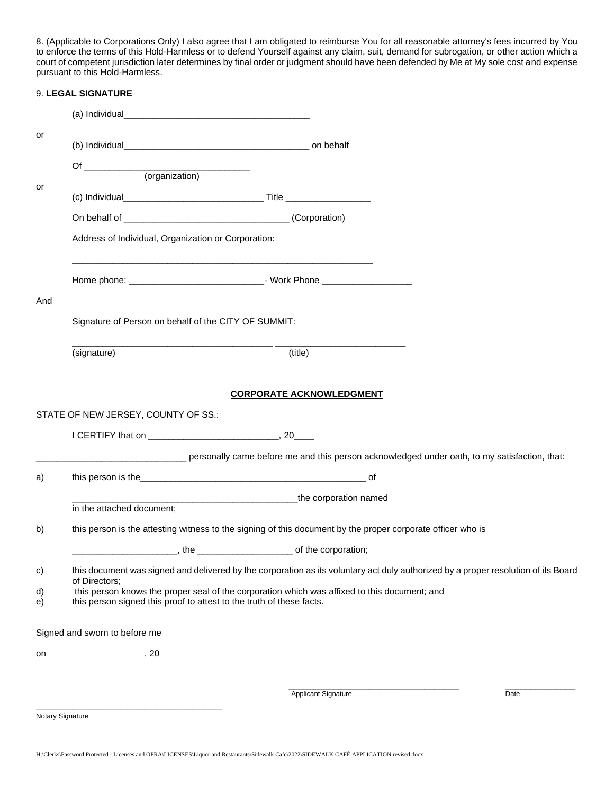8. (Applicable to Corporations Only) I also agree that I am obligated to reimburse You for all reasonable attorney's fees incurred by You to enforce the terms of this Hold-Harmless or to defend Yourself against any claim, suit, demand for subrogation, or other action which a court of competent jurisdiction later determines by final order or judgment should have been defended by Me at My sole cost and expense pursuant to this Hold-Harmless.

|          | 9. LEGAL SIGNATURE                                                   |                                                                                                                                    |  |
|----------|----------------------------------------------------------------------|------------------------------------------------------------------------------------------------------------------------------------|--|
|          |                                                                      |                                                                                                                                    |  |
| or       |                                                                      |                                                                                                                                    |  |
|          |                                                                      |                                                                                                                                    |  |
|          | Of $\qquad$<br>(organization)                                        |                                                                                                                                    |  |
| or       |                                                                      |                                                                                                                                    |  |
|          |                                                                      |                                                                                                                                    |  |
|          |                                                                      |                                                                                                                                    |  |
|          | Address of Individual, Organization or Corporation:                  |                                                                                                                                    |  |
|          |                                                                      |                                                                                                                                    |  |
| And      |                                                                      |                                                                                                                                    |  |
|          | Signature of Person on behalf of the CITY OF SUMMIT:                 |                                                                                                                                    |  |
|          | (signature)                                                          | (title)                                                                                                                            |  |
|          | STATE OF NEW JERSEY, COUNTY OF SS.:                                  |                                                                                                                                    |  |
|          |                                                                      | ersonally came before me and this person acknowledged under oath, to my satisfaction, that:                                        |  |
| a)       |                                                                      | this person is the contract of the contract of the contract of the contract of the contract of the contract of                     |  |
|          |                                                                      | the corporation named                                                                                                              |  |
|          | in the attached document;                                            |                                                                                                                                    |  |
| b)       |                                                                      | this person is the attesting witness to the signing of this document by the proper corporate officer who is                        |  |
|          | the                                                                  | of the corporation;                                                                                                                |  |
| c)       | of Directors;                                                        | this document was signed and delivered by the corporation as its voluntary act duly authorized by a proper resolution of its Board |  |
| d)<br>e) | this person signed this proof to attest to the truth of these facts. | this person knows the proper seal of the corporation which was affixed to this document; and                                       |  |
|          | Signed and sworn to before me                                        |                                                                                                                                    |  |
| on       | , 20                                                                 |                                                                                                                                    |  |
|          |                                                                      | Applicant Signature<br>Date                                                                                                        |  |
|          |                                                                      |                                                                                                                                    |  |
|          | Notary Signature                                                     |                                                                                                                                    |  |